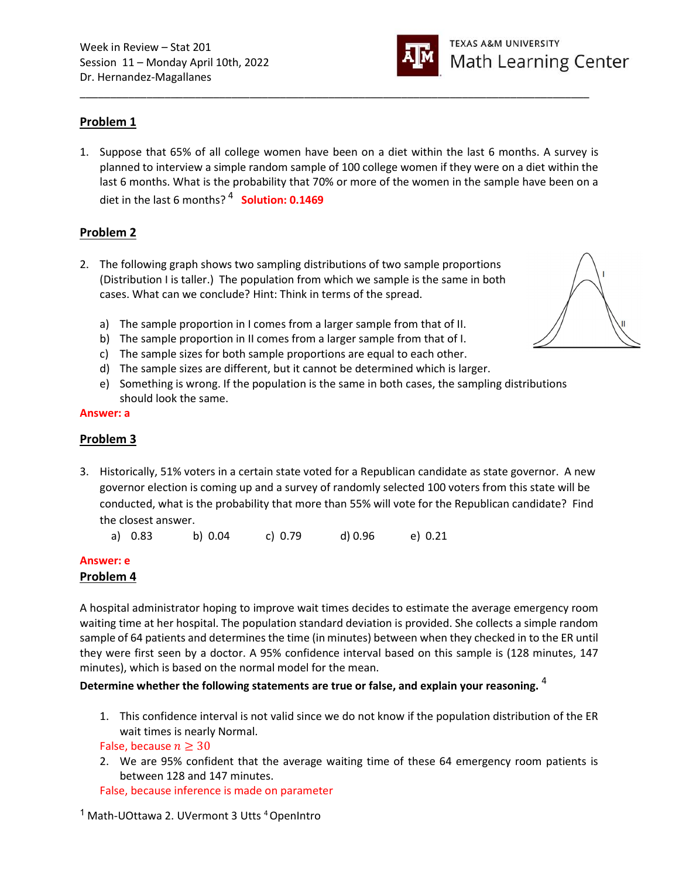

## Problem 1

1. Suppose that 65% of all college women have been on a diet within the last 6 months. A survey is planned to interview a simple random sample of 100 college women if they were on a diet within the last 6 months. What is the probability that 70% or more of the women in the sample have been on a diet in the last 6 months?<sup>4</sup> Solution: 0.1469

\_\_\_\_\_\_\_\_\_\_\_\_\_\_\_\_\_\_\_\_\_\_\_\_\_\_\_\_\_\_\_\_\_\_\_\_\_\_\_\_\_\_\_\_\_\_\_\_\_\_\_\_\_\_\_\_\_\_\_\_\_\_\_\_\_\_\_\_\_\_\_\_\_\_\_\_\_\_\_\_\_\_\_\_

## Problem 2

2. The following graph shows two sampling distributions of two sample proportions (Distribution I is taller.) The population from which we sample is the same in both cases. What can we conclude? Hint: Think in terms of the spread.



- a) The sample proportion in I comes from a larger sample from that of II.
- b) The sample proportion in II comes from a larger sample from that of I.
- c) The sample sizes for both sample proportions are equal to each other.
- d) The sample sizes are different, but it cannot be determined which is larger.
- e) Something is wrong. If the population is the same in both cases, the sampling distributions should look the same.

#### Answer: a

## Problem 3

3. Historically, 51% voters in a certain state voted for a Republican candidate as state governor. A new governor election is coming up and a survey of randomly selected 100 voters from this state will be conducted, what is the probability that more than 55% will vote for the Republican candidate? Find the closest answer.

|  | a) 0.83 |  | b) 0.04 | c) $0.79$ | d) 0.96 | e) 0.21 |
|--|---------|--|---------|-----------|---------|---------|
|--|---------|--|---------|-----------|---------|---------|

### Answer: e

### Problem 4

A hospital administrator hoping to improve wait times decides to estimate the average emergency room waiting time at her hospital. The population standard deviation is provided. She collects a simple random sample of 64 patients and determines the time (in minutes) between when they checked in to the ER until they were first seen by a doctor. A 95% confidence interval based on this sample is (128 minutes, 147 minutes), which is based on the normal model for the mean.

### Determine whether the following statements are true or false, and explain your reasoning.  $4$

1. This confidence interval is not valid since we do not know if the population distribution of the ER wait times is nearly Normal.

False, because  $n \geq 30$ 

2. We are 95% confident that the average waiting time of these 64 emergency room patients is between 128 and 147 minutes.

False, because inference is made on parameter

<sup>1</sup> Math-UOttawa 2. UVermont 3 Utts <sup>4</sup> OpenIntro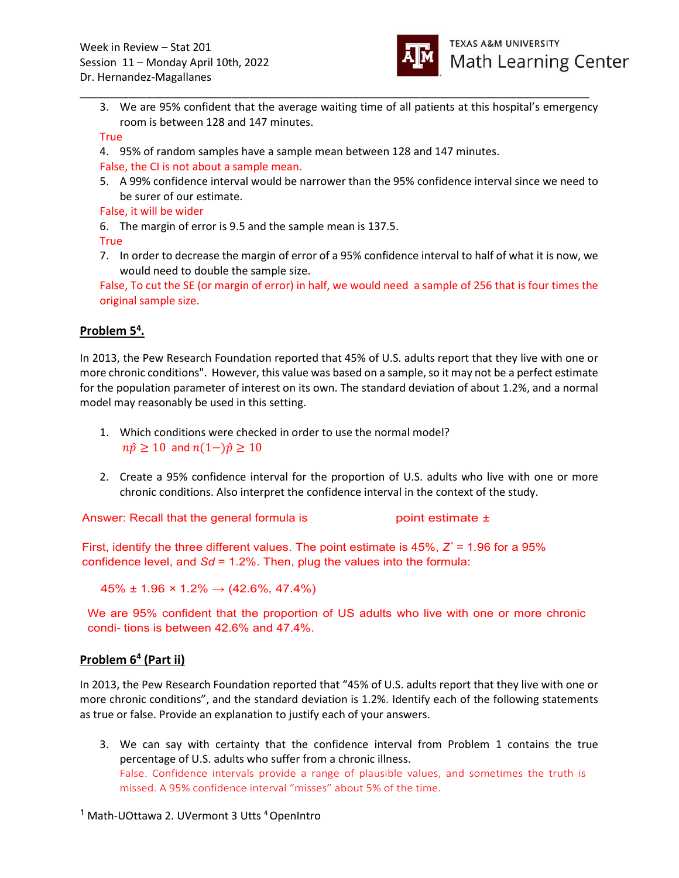

3. We are 95% confident that the average waiting time of all patients at this hospital's emergency room is between 128 and 147 minutes.

\_\_\_\_\_\_\_\_\_\_\_\_\_\_\_\_\_\_\_\_\_\_\_\_\_\_\_\_\_\_\_\_\_\_\_\_\_\_\_\_\_\_\_\_\_\_\_\_\_\_\_\_\_\_\_\_\_\_\_\_\_\_\_\_\_\_\_\_\_\_\_\_\_\_\_\_\_\_\_\_\_\_\_\_

#### True

4. 95% of random samples have a sample mean between 128 and 147 minutes.

False, the CI is not about a sample mean.

5. A 99% confidence interval would be narrower than the 95% confidence interval since we need to be surer of our estimate.

False, it will be wider

6. The margin of error is 9.5 and the sample mean is 137.5.

True

7. In order to decrease the margin of error of a 95% confidence interval to half of what it is now, we would need to double the sample size.

False, To cut the SE (or margin of error) in half, we would need a sample of 256 that is four times the original sample size.

# Problem 5<sup>4</sup>.

In 2013, the Pew Research Foundation reported that 45% of U.S. adults report that they live with one or more chronic conditions". However, this value was based on a sample, so it may not be a perfect estimate for the population parameter of interest on its own. The standard deviation of about 1.2%, and a normal model may reasonably be used in this setting.

- 1. Which conditions were checked in order to use the normal model?  $n\hat{p} \ge 10$  and  $n(1-\hat{p}) \ge 10$
- 2. Create a 95% confidence interval for the proportion of U.S. adults who live with one or more chronic conditions. Also interpret the confidence interval in the context of the study.

Answer: Recall that the general formula is  $\blacksquare$  point estimate  $\pm$ 

First, identify the three different values. The point estimate is 45%,  $Z^* = 1.96$  for a 95% confidence level, and  $Sd = 1.2\%$ . Then, plug the values into the formula:

 $45\% \pm 1.96 \times 1.2\% \rightarrow (42.6\%, 47.4\%)$ 

We are 95% confident that the proportion of US adults who live with one or more chronic condi- tions is between 42.6% and 47.4%.

# Problem 6<sup>4</sup> (Part ii)

In 2013, the Pew Research Foundation reported that "45% of U.S. adults report that they live with one or more chronic conditions", and the standard deviation is 1.2%. Identify each of the following statements as true or false. Provide an explanation to justify each of your answers.

3. We can say with certainty that the confidence interval from Problem 1 contains the true percentage of U.S. adults who suffer from a chronic illness. False. Confidence intervals provide a range of plausible values, and sometimes the truth is missed. A 95% confidence interval "misses" about 5% of the time.